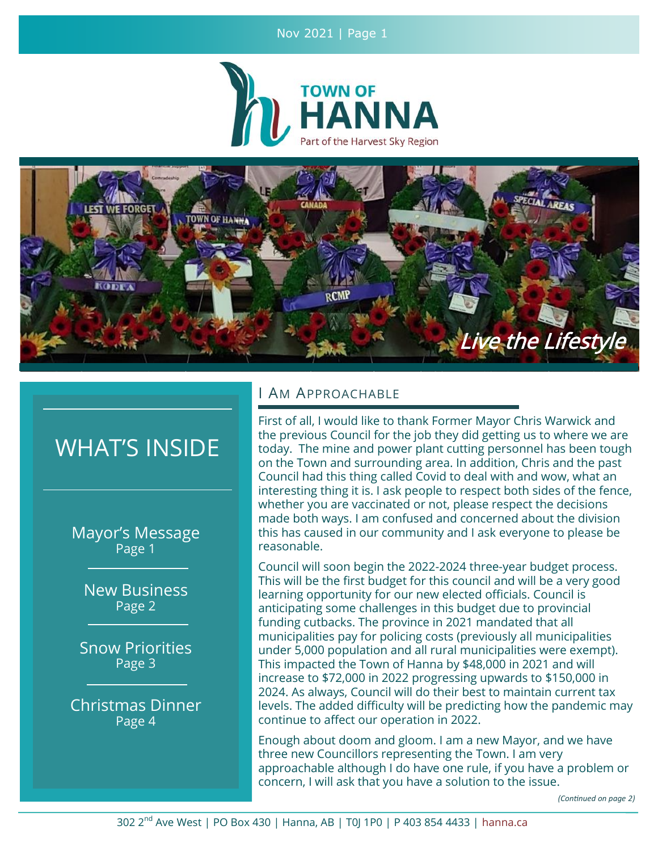Nov 2021 | Page 1





# WHAT'S INSIDE

Mayor's Message Page 1

New Business Page 2

Snow Priorities Page 3

Christmas Dinner Page 4

## I AM APPROACHABLE

First of all, I would like to thank Former Mayor Chris Warwick and the previous Council for the job they did getting us to where we are today. The mine and power plant cutting personnel has been tough on the Town and surrounding area. In addition, Chris and the past Council had this thing called Covid to deal with and wow, what an interesting thing it is. I ask people to respect both sides of the fence, whether you are vaccinated or not, please respect the decisions made both ways. I am confused and concerned about the division this has caused in our community and I ask everyone to please be reasonable.

Council will soon begin the 2022-2024 three-year budget process. This will be the first budget for this council and will be a very good learning opportunity for our new elected officials. Council is anticipating some challenges in this budget due to provincial funding cutbacks. The province in 2021 mandated that all municipalities pay for policing costs (previously all municipalities under 5,000 population and all rural municipalities were exempt). This impacted the Town of Hanna by \$48,000 in 2021 and will increase to \$72,000 in 2022 progressing upwards to \$150,000 in 2024. As always, Council will do their best to maintain current tax levels. The added difficulty will be predicting how the pandemic may continue to affect our operation in 2022.

Enough about doom and gloom. I am a new Mayor, and we have three new Councillors representing the Town. I am very approachable although I do have one rule, if you have a problem or concern, I will ask that you have a solution to the issue.

*(Continued on page 2)*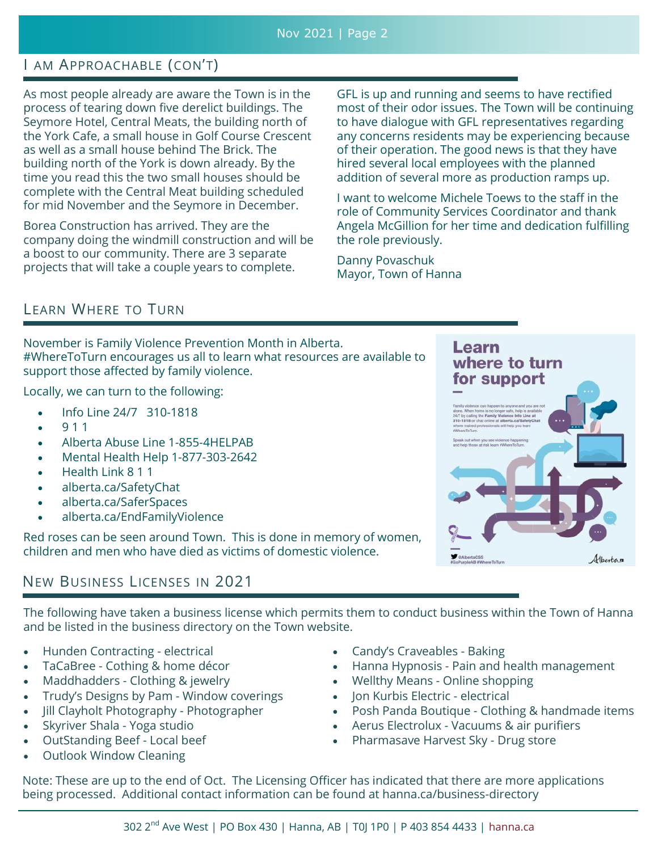# I AM APPROACHABLE (CON'T)

As most people already are aware the Town is in the process of tearing down five derelict buildings. The Seymore Hotel, Central Meats, the building north of the York Cafe, a small house in Golf Course Crescent as well as a small house behind The Brick. The building north of the York is down already. By the time you read this the two small houses should be complete with the Central Meat building scheduled for mid November and the Seymore in December.

Borea Construction has arrived. They are the company doing the windmill construction and will be a boost to our community. There are 3 separate projects that will take a couple years to complete.

GFL is up and running and seems to have rectified most of their odor issues. The Town will be continuing to have dialogue with GFL representatives regarding any concerns residents may be experiencing because of their operation. The good news is that they have hired several local employees with the planned addition of several more as production ramps up.

I want to welcome Michele Toews to the staff in the role of Community Services Coordinator and thank Angela McGillion for her time and dedication fulfilling the role previously.

Danny Povaschuk Mayor, Town of Hanna

# LEARN WHERE TO TURN

November is Family Violence Prevention Month in Alberta. #WhereToTurn encourages us all to learn what resources are available to support those affected by family violence.

Locally, we can turn to the following:

- Info Line 24/7 310-1818
- 9 1 1
- Alberta Abuse Line 1-855-4HELPAB
- Mental Health Help 1-877-303-2642
- Health Link 8 1 1
- alberta.ca/SafetyChat
- alberta.ca/SaferSpaces
- alberta.ca/EndFamilyViolence

Red roses can be seen around Town. This is done in memory of women, children and men who have died as victims of domestic violence.

# NEW BUSINESS LICENSES IN 2021

The following have taken a business license which permits them to conduct business within the Town of Hanna and be listed in the business directory on the Town website.

- Hunden Contracting electrical
- TaCaBree Cothing & home décor
- Maddhadders Clothing & jewelry
- Trudy's Designs by Pam Window coverings
- Jill Clayholt Photography Photographer
- Skyriver Shala Yoga studio
- OutStanding Beef Local beef
- Outlook Window Cleaning
- Candy's Craveables Baking
- Hanna Hypnosis Pain and health management
- Wellthy Means Online shopping
- Jon Kurbis Electric electrical
- Posh Panda Boutique Clothing & handmade items
- Aerus Electrolux Vacuums & air purifiers
- Pharmasave Harvest Sky Drug store

Note: These are up to the end of Oct. The Licensing Officer has indicated that there are more applications being processed. Additional contact information can be found at hanna.ca/business-directory

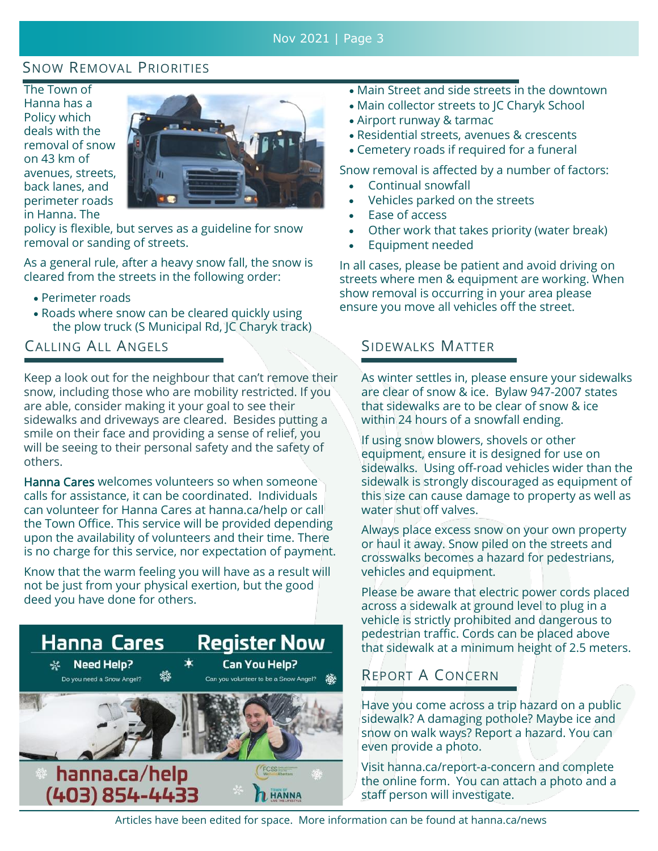# SNOW REMOVAL PRIORITIES

The Town of Hanna has a Policy which deals with the removal of snow on 43 km of avenues, streets, back lanes, and perimeter roads in Hanna. The



policy is flexible, but serves as a guideline for snow removal or sanding of streets.

As a general rule, after a heavy snow fall, the snow is cleared from the streets in the following order:

- Perimeter roads
- Roads where snow can be cleared quickly using the plow truck (S Municipal Rd, JC Charyk track)

# CALLING ALL ANGELS

Keep a look out for the neighbour that can't remove their snow, including those who are mobility restricted. If you are able, consider making it your goal to see their sidewalks and driveways are cleared. Besides putting a smile on their face and providing a sense of relief, you will be seeing to their personal safety and the safety of others.

Hanna Cares welcomes volunteers so when someone calls for assistance, it can be coordinated. Individuals can volunteer for Hanna Cares at hanna.ca/help or call the Town Office. This service will be provided depending upon the availability of volunteers and their time. There is no charge for this service, nor expectation of payment.

Know that the warm feeling you will have as a result will not be just from your physical exertion, but the good deed you have done for others.



- Main Street and side streets in the downtown
- Main collector streets to JC Charyk School
- Airport runway & tarmac
- Residential streets, avenues & crescents
- Cemetery roads if required for a funeral

Snow removal is affected by a number of factors:

- Continual snowfall
- Vehicles parked on the streets
- Ease of access
- Other work that takes priority (water break)
- Equipment needed

In all cases, please be patient and avoid driving on streets where men & equipment are working. When show removal is occurring in your area please ensure you move all vehicles off the street.

## SIDEWALKS MATTER

As winter settles in, please ensure your sidewalks are clear of snow & ice. Bylaw 947-2007 states that sidewalks are to be clear of snow & ice within 24 hours of a snowfall ending.

If using snow blowers, shovels or other equipment, ensure it is designed for use on sidewalks. Using off-road vehicles wider than the sidewalk is strongly discouraged as equipment of this size can cause damage to property as well as water shut off valves.

Always place excess snow on your own property or haul it away. Snow piled on the streets and crosswalks becomes a hazard for pedestrians, vehicles and equipment.

Please be aware that electric power cords placed across a sidewalk at ground level to plug in a vehicle is strictly prohibited and dangerous to pedestrian traffic. Cords can be placed above that sidewalk at a minimum height of 2.5 meters.

# REPORT A CONCERN

Have you come across a trip hazard on a public sidewalk? A damaging pothole? Maybe ice and snow on walk ways? Report a hazard. You can even provide a photo.

Visit hanna.ca/report-a-concern and complete the online form. You can attach a photo and a staff person will investigate.